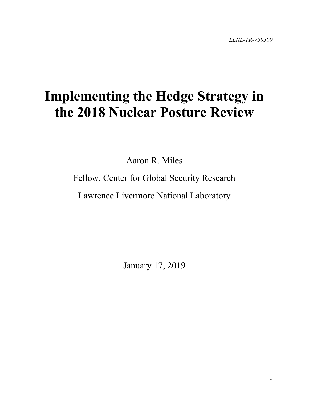# **Implementing the Hedge Strategy in the 2018 Nuclear Posture Review**

Aaron R. Miles

Fellow, Center for Global Security Research

Lawrence Livermore National Laboratory

January 17, 2019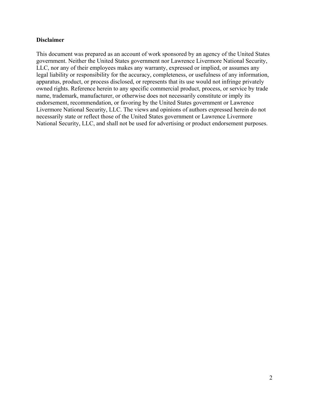#### **Disclaimer**

<span id="page-1-18"></span><span id="page-1-17"></span><span id="page-1-16"></span><span id="page-1-15"></span><span id="page-1-14"></span><span id="page-1-13"></span><span id="page-1-12"></span><span id="page-1-11"></span><span id="page-1-10"></span><span id="page-1-9"></span><span id="page-1-8"></span><span id="page-1-7"></span><span id="page-1-6"></span><span id="page-1-5"></span><span id="page-1-4"></span><span id="page-1-3"></span><span id="page-1-2"></span><span id="page-1-1"></span><span id="page-1-0"></span>This document was prepared as an account of work sponsored by an agency of the United States government. Neither the United States government nor Lawrence Livermore National Security, LLC, nor any of their employees makes any warranty, expressed or implied, or assumes any legal liability or responsibility for the accuracy, completeness, or usefulness of any information, apparatus, product, or process disclosed, or represents that its use would not infringe privately owned rights. Reference herein to any specific commercial product, process, or service by trade name, trademark, manufacturer, or otherwise does not necessarily constitute or imply its endorsement, recommendation, or favoring by the United States government or Lawrence Livermore National Security, LLC. The views and opinions of authors expressed herein do not necessarily state or reflect those of the United States government or Lawrence Livermore National Security, LLC, and shall not be used for advertising or product endorsement purposes.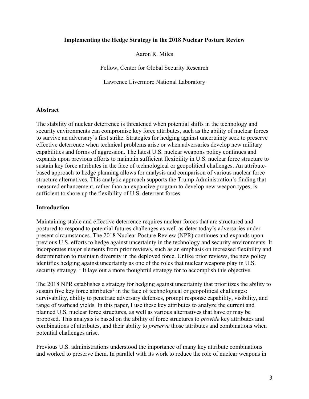#### **Implementing the Hedge Strategy in the 2018 Nuclear Posture Review**

Aaron R. Miles

Fellow, Center for Global Security Research

Lawrence Livermore National Laboratory

#### **Abstract**

The stability of nuclear deterrence is threatened when potential shifts in the technology and security environments can compromise key force attributes, such as the ability of nuclear forces to survive an adversary's first strike. Strategies for hedging against uncertainty seek to preserve effective deterrence when technical problems arise or when adversaries develop new military capabilities and forms of aggression. The latest U.S. nuclear weapons policy continues and expands upon previous efforts to maintain sufficient flexibility in U.S. nuclear force structure to sustain key force attributes in the face of technological or geopolitical challenges. An attributebased approach to hedge planning allows for analysis and comparison of various nuclear force structure alternatives. This analytic approach supports the Trump Administration's finding that measured enhancement, rather than an expansive program to develop new weapon types, is sufficient to shore up the flexibility of U.S. deterrent forces.

#### **Introduction**

Maintaining stable and effective deterrence requires nuclear forces that are structured and postured to respond to potential futures challenges as well as deter today's adversaries under present circumstances. The 2018 Nuclear Posture Review (NPR) continues and expands upon previous U.S. efforts to hedge against uncertainty in the technology and security environments. It incorporates major elements from prior reviews, such as an emphasis on increased flexibility and determination to maintain diversity in the deployed force. Unlike prior reviews, the new policy identifies hedging against uncertainty as one of the roles that nuclear weapons play in U.S. security strategy.<sup>[1](#page-1-0)</sup> It lays out a more thoughtful strategy for to accomplish this objective.

The 2018 NPR establishes a strategy for hedging against uncertainty that [prioritizes the ability to](https://nationalinterest.org/feature/keep-us-nuclear-options-open-avoid-using-them-30242)  [sustain five key force attributes](https://nationalinterest.org/feature/keep-us-nuclear-options-open-avoid-using-them-30242)<sup>[2](#page-1-1)</sup> in the face of technological or geopolitical challenges: survivability, ability to penetrate adversary defenses, prompt response capability, visibility, and range of warhead yields. In this paper, I use these key attributes to analyze the current and planned U.S. nuclear force structures, as well as various alternatives that have or may be proposed. This analysis is based on the ability of force structures to *provide* key attributes and combinations of attributes, and their ability to *preserve* those attributes and combinations when potential challenges arise.

Previous U.S. administrations understood the importance of many key attribute combinations and worked to preserve them. In parallel with its work to reduce the role of nuclear weapons in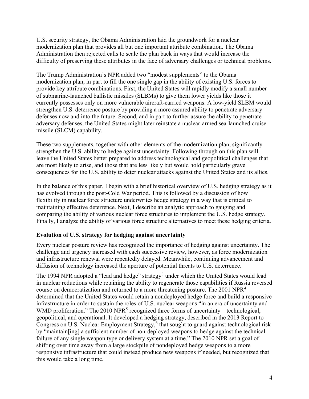U.S. security strategy, the Obama Administration laid the groundwork for a nuclear modernization plan that provides all but one important attribute combination. The Obama Administration then rejected calls to scale the plan back in ways that would increase the difficulty of preserving these attributes in the face of adversary challenges or technical problems.

The Trump Administration's NPR added two "modest supplements" to the Obama modernization plan, in part to fill the one single gap in the ability of existing U.S. forces to provide key attribute combinations. First, the United States will rapidly modify a small number of submarine-launched ballistic missiles (SLBMs) to give them lower yields like those it currently possesses only on more vulnerable aircraft-carried weapons. A low-yield SLBM would strengthen U.S. deterrence posture by providing a more assured ability to penetrate adversary defenses now and into the future. Second, and in part to further assure the ability to penetrate adversary defenses, the United States might later reinstate a nuclear-armed sea-launched cruise missile (SLCM) capability.

These two supplements, together with other elements of the modernization plan, significantly strengthen the U.S. ability to hedge against uncertainty. Following through on this plan will leave the United States better prepared to address technological and geopolitical challenges that are most likely to arise, and those that are less likely but would hold particularly grave consequences for the U.S. ability to deter nuclear attacks against the United States and its allies.

In the balance of this paper, I begin with a brief historical overview of U.S. hedging strategy as it has evolved through the post-Cold War period. This is followed by a discussion of how flexibility in nuclear force structure underwrites hedge strategy in a way that is critical to maintaining effective deterrence. Next, I describe an analytic approach to gauging and comparing the ability of various nuclear force structures to implement the U.S. hedge strategy. Finally, I analyze the ability of various force structure alternatives to meet these hedging criteria.

# **Evolution of U.S. strategy for hedging against uncertainty**

Every nuclear posture review has recognized the importance of hedging against uncertainty. The challenge and urgency increased with each successive review, however, as force modernization and infrastructure renewal were repeatedly delayed. Meanwhile, continuing advancement and diffusion of technology increased the aperture of potential threats to U.S. deterrence.

The 1994 NPR adopted a "lead and hedge" strategy<sup>[3](#page-1-2)</sup> under which the United States would lead in nuclear reductions while retaining the ability to regenerate those capabilities if Russia reversed course on democratization and returned to a more threatening posture. The 2001 NPR<sup>[4](#page-1-3)</sup> determined that the United States would retain a nondeployed hedge force and build a responsive infrastructure in order to sustain the roles of U.S. nuclear weapons "in an era of uncertainty and WMD proliferation." The 2010 NPR<sup>[5](#page-1-4)</sup> recognized three forms of uncertainty – technological, geopolitical, and operational. It developed a hedging strategy, described in the 2013 Report to Congress on U.S. Nuclear Employment Strategy, [6](#page-1-5) that sought to guard against technological risk by "maintain[ing] a sufficient number of non-deployed weapons to hedge against the technical failure of any single weapon type or delivery system at a time." The 2010 NPR set a goal of shifting over time away from a large stockpile of nondeployed hedge weapons to a more responsive infrastructure that could instead produce new weapons if needed, but recognized that this would take a long time.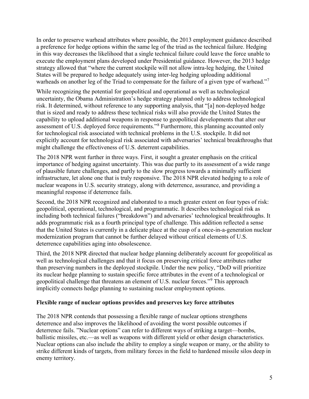In order to preserve warhead attributes where possible, the 2013 employment guidance described a preference for hedge options within the same leg of the triad as the technical failure. Hedging in this way decreases the likelihood that a single technical failure could leave the force unable to execute the employment plans developed under Presidential guidance. However, the 2013 hedge strategy allowed that "where the current stockpile will not allow intra-leg hedging, the United States will be prepared to hedge adequately using inter-leg hedging uploading additional warheads on another leg of the Triad to compensate for the failure of a given type of warhead."<sup>[7](#page-1-6)</sup>

While recognizing the potential for geopolitical and operational as well as technological uncertainty, the Obama Administration's hedge strategy planned only to address technological risk. It determined, without reference to any supporting analysis, that "[a] non-deployed hedge that is sized and ready to address these technical risks will also provide the United States the capability to upload additional weapons in response to geopolitical developments that alter our assessment of U.S. deployed force requirements."[8](#page-1-7) Furthermore, this planning accounted only for technological risk associated with technical problems in the U.S. stockpile. It did not explicitly account for technological risk associated with adversaries' technical breakthroughs that might challenge the effectiveness of U.S. deterrent capabilities.

The 2018 NPR went further in three ways. First, it sought a greater emphasis on the critical importance of hedging against uncertainty. This was due partly to its assessment of a wide range of plausible future challenges, and partly to the slow progress towards a minimally sufficient infrastructure, let alone one that is truly responsive. The 2018 NPR elevated hedging to a role of nuclear weapons in U.S. security strategy, along with deterrence, assurance, and providing a meaningful response if deterrence fails.

Second, the 2018 NPR recognized and elaborated to a much greater extent on four types of risk: geopolitical, operational, technological, and programmatic. It describes technological risk as including both technical failures ("breakdown") and adversaries' technological breakthroughs. It adds programmatic risk as a fourth principal type of challenge. This addition reflected a sense that the United States is currently in a delicate place at the cusp of a once-in-a-generation nuclear modernization program that cannot be further delayed without critical elements of U.S. deterrence capabilities aging into obsolescence.

Third, the 2018 NPR directed that nuclear hedge planning deliberately account for geopolitical as well as technological challenges and that it focus on preserving critical force attributes rather than preserving numbers in the deployed stockpile. Under the new policy, "DoD will prioritize its nuclear hedge planning to sustain specific force attributes in the event of a technological or geopolitical challenge that threatens an element of U.S. nuclear forces."[9](#page-1-8) This approach implicitly connects hedge planning to sustaining nuclear employment options.

## **Flexible range of nuclear options provides and preserves key force attributes**

The 2018 NPR contends that possessing a flexible range of nuclear options strengthens deterrence and also improves the likelihood of avoiding the worst possible outcomes if deterrence fails. "Nuclear options" can refer to different ways of striking a target—bombs, ballistic missiles, etc.—as well as weapons with different yield or other design characteristics. Nuclear options can also include the ability to employ a single weapon or many, or the ability to strike different kinds of targets, from military forces in the field to hardened missile silos deep in enemy territory.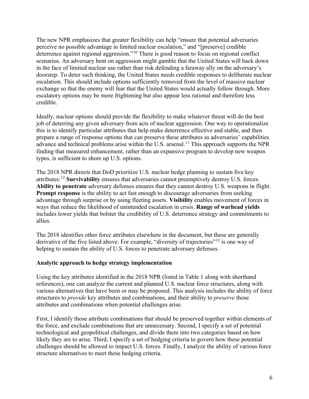The new NPR emphasizes that greater flexibility can help "ensure that potential adversaries perceive no possible advantage in limited nuclear escalation," and "[preserve] credible deterrence against regional aggression."<sup>[10](#page-1-9)</sup> There is good reason to focus on regional conflict scenarios. An adversary bent on aggression might gamble that the United States will back down in the face of limited nuclear use rather than risk defending a faraway ally on the adversary's doorstep. To deter such thinking, the United States needs credible responses to deliberate nuclear escalation. This should include options sufficiently removed from the level of massive nuclear exchange so that the enemy will fear that the United States would actually follow through. More escalatory options may be more frightening but also appear less rational and therefore less credible.

Ideally, nuclear options should provide the flexibility to make whatever threat will do the best job of deterring any given adversary from acts of nuclear aggression. One way to operationalize this is to identify particular attributes that help make deterrence effective and stable, and then prepare a range of response options that can preserve these attributes as adversaries' capabilities advance and technical problems arise within the U.S. arsenal.<sup>[11](#page-1-10)</sup> This approach supports the NPR finding that measured enhancement, rather than an expansive program to develop new weapon types, is sufficient to shore up U.S. options.

The 2018 NPR directs that DoD prioritize U.S. nuclear hedge planning to sustain five key attributes: [12](#page-1-11) **Survivability** ensures that adversaries cannot preemptively destroy U.S. forces. **Ability to penetrate** adversary defenses ensures that they cannot destroy U.S. weapons in flight. **Prompt response** is the ability to act fast enough to discourage adversaries from seeking advantage through surprise or by using fleeting assets. **Visibility** enables movement of forces in ways that reduce the likelihood of unintended escalation in crisis. **Range of warhead yields** includes lower yields that bolster the credibility of U.S. deterrence strategy and commitments to allies.

The 2018 identifies other force attributes elsewhere in the document, but these are generally derivative of the five listed above. For example, "diversity of trajectories"<sup>[13](#page-1-12)</sup> is one way of helping to sustain the ability of U.S. forces to penetrate adversary defenses.

## **Analytic approach to hedge strategy implementation**

Using the key attributes identified in the 2018 NPR (listed in Table 1 along with shorthand references), one can analyze the current and planned U.S. nuclear force structures, along with various alternatives that have been or may be proposed. This analysis includes the ability of force structures to *provide* key attributes and combinations, and their ability to *preserve* those attributes and combinations when potential challenges arise.

First, I identify those attribute combinations that should be preserved together within elements of the force, and exclude combinations that are unnecessary. Second, I specify a set of potential technological and geopolitical challenges, and divide them into two categories based on how likely they are to arise. Third, I specify a set of hedging criteria to govern how these potential challenges should be allowed to impact U.S. forces. Finally, I analyze the ability of various force structure alternatives to meet these hedging criteria.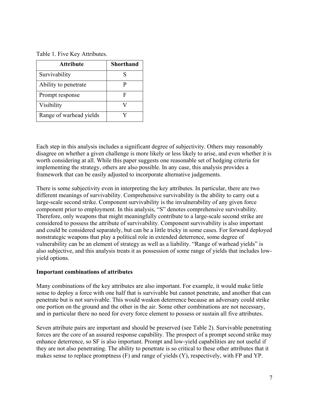#### Table 1. Five Key Attributes.

| <b>Attribute</b>        | <b>Shorthand</b> |
|-------------------------|------------------|
| Survivability           |                  |
| Ability to penetrate    |                  |
| Prompt response         |                  |
| Visibility              |                  |
| Range of warhead yields |                  |

Each step in this analysis includes a significant degree of subjectivity. Others may reasonably disagree on whether a given challenge is more likely or less likely to arise, and even whether it is worth considering at all. While this paper suggests one reasonable set of hedging criteria for implementing the strategy, others are also possible. In any case, this analysis provides a framework that can be easily adjusted to incorporate alternative judgements.

There is some subjectivity even in interpreting the key attributes. In particular, there are two different meanings of survivability. Comprehensive survivability is the ability to carry out a large-scale second strike. Component survivability is the invulnerability of any given force component prior to employment. In this analysis, "S" denotes comprehensive survivability. Therefore, only weapons that might meaningfully contribute to a large-scale second strike are considered to possess the attribute of survivability. Component survivability is also important and could be considered separately, but can be a little tricky in some cases. For forward deployed nonstrategic weapons that play a political role in extended deterrence, some degree of vulnerability can be an element of strategy as well as a liability. "Range of warhead yields" is also subjective, and this analysis treats it as possession of some range of yields that includes lowyield options.

#### **Important combinations of attributes**

Many combinations of the key attributes are also important. For example, it would make little sense to deploy a force with one half that is survivable but cannot penetrate, and another that can penetrate but is not survivable. This would weaken deterrence because an adversary could strike one portion on the ground and the other in the air. Some other combinations are not necessary, and in particular there no need for every force element to possess or sustain all five attributes.

Seven attribute pairs are important and should be preserved (see Table 2). Survivable penetrating forces are the core of an assured response capability. The prospect of a prompt second strike may enhance deterrence, so SF is also important. Prompt and low-yield capabilities are not useful if they are not also penetrating. The ability to penetrate is so critical to these other attributes that it makes sense to replace promptness (F) and range of yields (Y), respectively, with FP and YP.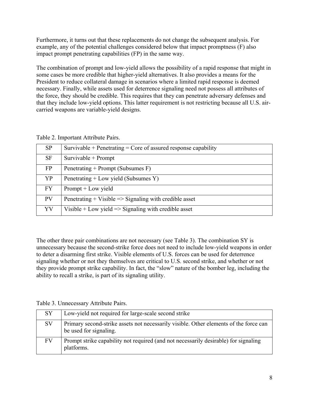Furthermore, it turns out that these replacements do not change the subsequent analysis. For example, any of the potential challenges considered below that impact promptness (F) also impact prompt penetrating capabilities (FP) in the same way.

The combination of prompt and low-yield allows the possibility of a rapid response that might in some cases be more credible that higher-yield alternatives. It also provides a means for the President to reduce collateral damage in scenarios where a limited rapid response is deemed necessary. Finally, while assets used for deterrence signaling need not possess all attributes of the force, they should be credible. This requires that they can penetrate adversary defenses and that they include low-yield options. This latter requirement is not restricting because all U.S. aircarried weapons are variable-yield designs.

| Table 2. Important Attribute Pairs. |  |  |  |  |  |  |
|-------------------------------------|--|--|--|--|--|--|
|                                     |  |  |  |  |  |  |

| <b>SP</b> | Survivable + Penetrating = Core of assured response capability    |
|-----------|-------------------------------------------------------------------|
| <b>SF</b> | Survivable + Prompt                                               |
| FP        | Penetrating + Prompt (Subsumes F)                                 |
| YP        | Penetrating + Low yield (Subsumes Y)                              |
| <b>FY</b> | $P$ rompt + Low yield                                             |
| PV        | Penetrating + Visible $\Rightarrow$ Signaling with credible asset |
| YV        | Visible $+$ Low yield $\Rightarrow$ Signaling with credible asset |

The other three pair combinations are not necessary (see Table 3). The combination SY is unnecessary because the second-strike force does not need to include low-yield weapons in order to deter a disarming first strike. Visible elements of U.S. forces can be used for deterrence signaling whether or not they themselves are critical to U.S. second strike, and whether or not they provide prompt strike capability. In fact, the "slow" nature of the bomber leg, including the ability to recall a strike, is part of its signaling utility.

Table 3. Unnecessary Attribute Pairs.

| <b>SY</b> | Low-yield not required for large-scale second strike                                                            |
|-----------|-----------------------------------------------------------------------------------------------------------------|
| <b>SV</b> | Primary second-strike assets not necessarily visible. Other elements of the force can<br>be used for signaling. |
| FV        | Prompt strike capability not required (and not necessarily desirable) for signaling<br>platforms.               |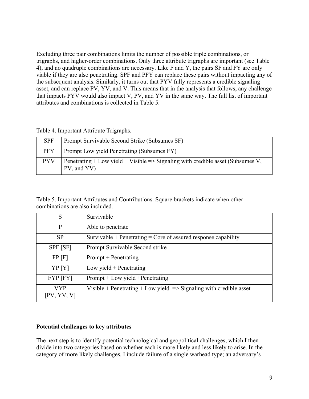Excluding three pair combinations limits the number of possible triple combinations, or trigraphs, and higher-order combinations. Only three attribute trigraphs are important (see Table 4), and no quadruple combinations are necessary. Like F and Y, the pairs SF and FY are only viable if they are also penetrating. SPF and PFY can replace these pairs without impacting any of the subsequent analysis. Similarly, it turns out that PYV fully represents a credible signaling asset, and can replace PV, YV, and V. This means that in the analysis that follows, any challenge that impacts PYV would also impact V, PV, and YV in the same way. The full list of important attributes and combinations is collected in Table 5.

Table 4. Important Attribute Trigraphs.

| <b>SPF</b> | Prompt Survivable Second Strike (Subsumes SF)                                                  |
|------------|------------------------------------------------------------------------------------------------|
| <b>PFY</b> | Prompt Low yield Penetrating (Subsumes FY)                                                     |
| <b>PYV</b> | Penetrating + Low yield + Visible => Signaling with credible asset (Subsumes V,<br>PV, and YV) |

Table 5. Important Attributes and Contributions. Square brackets indicate when other combinations are also included.

| S                         | Survivable                                                                    |
|---------------------------|-------------------------------------------------------------------------------|
| P                         | Able to penetrate                                                             |
| <b>SP</b>                 | Survivable + Penetrating = Core of assured response capability                |
| SPF [SF]                  | Prompt Survivable Second strike                                               |
| $FP$ [F]                  | $P$ rompt + Penetrating                                                       |
| YP <sub>[Y]</sub>         | Low yield $+$ Penetrating                                                     |
| $FYP$ [FY]                | Prompt + Low yield + Penetrating                                              |
| <b>VYP</b><br>[PV, YV, V] | Visible + Penetrating + Low yield $\Rightarrow$ Signaling with credible asset |

#### **Potential challenges to key attributes**

The next step is to identify potential technological and geopolitical challenges, which I then divide into two categories based on whether each is more likely and less likely to arise. In the category of more likely challenges, I include failure of a single warhead type; an adversary's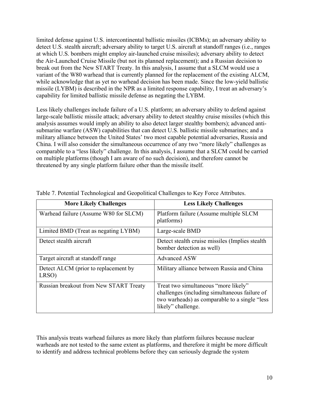limited defense against U.S. intercontinental ballistic missiles (ICBMs); an adversary ability to detect U.S. stealth aircraft; adversary ability to target U.S. aircraft at standoff ranges (i.e., ranges at which U.S. bombers might employ air-launched cruise missiles); adversary ability to detect the Air-Launched Cruise Missile (but not its planned replacement); and a Russian decision to break out from the New START Treaty. In this analysis, I assume that a SLCM would use a variant of the W80 warhead that is currently planned for the replacement of the existing ALCM, while acknowledge that as yet no warhead decision has been made. Since the low-yield ballistic missile (LYBM) is described in the NPR as a limited response capability, I treat an adversary's capability for limited ballistic missile defense as negating the LYBM.

Less likely challenges include failure of a U.S. platform; an adversary ability to defend against large-scale ballistic missile attack; adversary ability to detect stealthy cruise missiles (which this analysis assumes would imply an ability to also detect larger stealthy bombers); advanced antisubmarine warfare (ASW) capabilities that can detect U.S. ballistic missile submarines; and a military alliance between the United States' two most capable potential adversaries, Russia and China. I will also consider the simultaneous occurrence of any two "more likely" challenges as comparable to a "less likely" challenge. In this analysis, I assume that a SLCM could be carried on multiple platforms (though I am aware of no such decision), and therefore cannot be threatened by any single platform failure other than the missile itself.

| <b>More Likely Challenges</b>                 | <b>Less Likely Challenges</b>                                                                                                                                 |
|-----------------------------------------------|---------------------------------------------------------------------------------------------------------------------------------------------------------------|
| Warhead failure (Assume W80 for SLCM)         | Platform failure (Assume multiple SLCM<br>platforms)                                                                                                          |
| Limited BMD (Treat as negating LYBM)          | Large-scale BMD                                                                                                                                               |
| Detect stealth aircraft                       | Detect stealth cruise missiles (Implies stealth)<br>bomber detection as well)                                                                                 |
| Target aircraft at standoff range             | Advanced ASW                                                                                                                                                  |
| Detect ALCM (prior to replacement by<br>LRSO) | Military alliance between Russia and China                                                                                                                    |
| Russian breakout from New START Treaty        | Treat two simultaneous "more likely"<br>challenges (including simultaneous failure of<br>two warheads) as comparable to a single "less"<br>likely" challenge. |

Table 7. Potential Technological and Geopolitical Challenges to Key Force Attributes.

This analysis treats warhead failures as more likely than platform failures because nuclear warheads are not tested to the same extent as platforms, and therefore it might be more difficult to identify and address technical problems before they can seriously degrade the system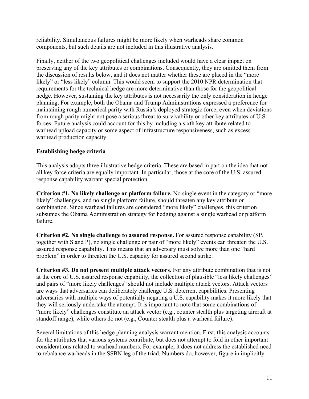reliability. Simultaneous failures might be more likely when warheads share common components, but such details are not included in this illustrative analysis.

Finally, neither of the two geopolitical challenges included would have a clear impact on preserving any of the key attributes or combinations. Consequently, they are omitted them from the discussion of results below, and it does not matter whether these are placed in the "more likely" or "less likely" column. This would seem to support the 2010 NPR determination that requirements for the technical hedge are more determinative than those for the geopolitical hedge. However, sustaining the key attributes is not necessarily the only consideration in hedge planning. For example, both the Obama and Trump Administrations expressed a preference for maintaining rough numerical parity with Russia's deployed strategic force, even when deviations from rough parity might not pose a serious threat to survivability or other key attributes of U.S. forces. Future analysis could account for this by including a sixth key attribute related to warhead upload capacity or some aspect of infrastructure responsiveness, such as excess warhead production capacity.

## **Establishing hedge criteria**

This analysis adopts three illustrative hedge criteria. These are based in part on the idea that not all key force criteria are equally important. In particular, those at the core of the U.S. assured response capability warrant special protection.

**Criterion #1. No likely challenge or platform failure.** No single event in the category or "more likely" challenges, and no single platform failure, should threaten any key attribute or combination. Since warhead failures are considered "more likely" challenges, this criterion subsumes the Obama Administration strategy for hedging against a single warhead or platform failure.

**Criterion #2. No single challenge to assured response.** For assured response capability (SP, together with S and P), no single challenge or pair of "more likely" events can threaten the U.S. assured response capability. This means that an adversary must solve more than one "hard problem" in order to threaten the U.S. capacity for assured second strike.

**Criterion #3. Do not present multiple attack vectors.** For any attribute combination that is not at the core of U.S. assured response capability, the collection of plausible "less likely challenges" and pairs of "more likely challenges" should not include multiple attack vectors. Attack vectors are ways that adversaries can deliberately challenge U.S. deterrent capabilities. Presenting adversaries with multiple ways of potentially negating a U.S. capability makes it more likely that they will seriously undertake the attempt. It is important to note that some combinations of "more likely" challenges constitute an attack vector (e.g., counter stealth plus targeting aircraft at standoff range), while others do not (e.g., Counter stealth plus a warhead failure).

Several limitations of this hedge planning analysis warrant mention. First, this analysis accounts for the attributes that various systems contribute, but does not attempt to fold in other important considerations related to warhead numbers. For example, it does not address the established need to rebalance warheads in the SSBN leg of the triad. Numbers do, however, figure in implicitly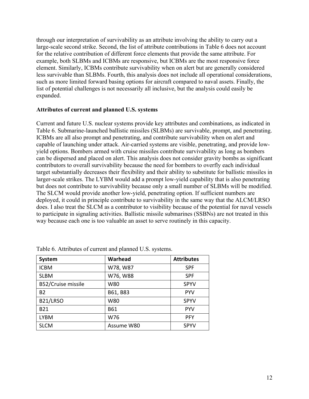through our interpretation of survivability as an attribute involving the ability to carry out a large-scale second strike. Second, the list of attribute contributions in Table 6 does not account for the relative contribution of different force elements that provide the same attribute. For example, both SLBMs and ICBMs are responsive, but ICBMs are the most responsive force element. Similarly, ICBMs contribute survivability when on alert but are generally considered less survivable than SLBMs. Fourth, this analysis does not include all operational considerations, such as more limited forward basing options for aircraft compared to naval assets. Finally, the list of potential challenges is not necessarily all inclusive, but the analysis could easily be expanded.

#### **Attributes of current and planned U.S. systems**

Current and future U.S. nuclear systems provide key attributes and combinations, as indicated in Table 6. Submarine-launched ballistic missiles (SLBMs) are survivable, prompt, and penetrating. ICBMs are all also prompt and penetrating, and contribute survivability when on alert and capable of launching under attack. Air-carried systems are visible, penetrating, and provide lowyield options. Bombers armed with cruise missiles contribute survivability as long as bombers can be dispersed and placed on alert. This analysis does not consider gravity bombs as significant contributors to overall survivability because the need for bombers to overfly each individual target substantially decreases their flexibility and their ability to substitute for ballistic missiles in larger-scale strikes. The LYBM would add a prompt low-yield capability that is also penetrating but does not contribute to survivability because only a small number of SLBMs will be modified. The SLCM would provide another low-yield, penetrating option. If sufficient numbers are deployed, it could in principle contribute to survivability in the same way that the ALCM/LRSO does. I also treat the SLCM as a contributor to visibility because of the potential for naval vessels to participate in signaling activities. Ballistic missile submarines (SSBNs) are not treated in this way because each one is too valuable an asset to serve routinely in this capacity.

| <b>System</b>      | Warhead    | <b>Attributes</b> |
|--------------------|------------|-------------------|
| <b>ICBM</b>        | W78, W87   | <b>SPF</b>        |
| <b>SLBM</b>        | W76, W88   | <b>SPF</b>        |
| B52/Cruise missile | W80        | <b>SPYV</b>       |
| <b>B2</b>          | B61, B83   | <b>PYV</b>        |
| B21/LRSO           | W80        | <b>SPYV</b>       |
| <b>B21</b>         | B61        | <b>PYV</b>        |
| <b>LYBM</b>        | W76        | <b>PFY</b>        |
| <b>SLCM</b>        | Assume W80 | <b>SPYV</b>       |

Table 6. Attributes of current and planned U.S. systems.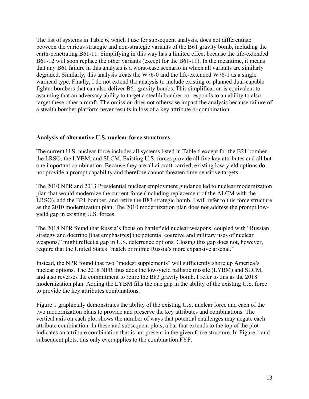The list of systems in Table 6, which I use for subsequent analysis, does not differentiate between the various strategic and non-strategic variants of the B61 gravity bomb, including the earth-penetrating B61-11. Simplifying in this way has a limited effect because the life-extended B61-12 will soon replace the other variants (except for the B61-11). In the meantime, it means that any B61 failure in this analysis is a worst-case scenario in which all variants are similarly degraded. Similarly, this analysis treats the W76-0 and the life-extended W76-1 as a single warhead type. Finally, I do not extend the analysis to include existing or planned dual-capable fighter bombers that can also deliver B61 gravity bombs. This simplification is equivalent to assuming that an adversary ability to target a stealth bomber corresponds to an ability to also target these other aircraft. The omission does not otherwise impact the analysis because failure of a stealth bomber platform never results in loss of a key attribute or combination.

#### **Analysis of alternative U.S. nuclear force structures**

The current U.S. nuclear force includes all systems listed in Table 6 except for the B21 bomber, the LRSO, the LYBM, and SLCM. Existing U.S. forces provide all five key attributes and all but one important combination. Because they are all aircraft-carried, existing low-yield options do not provide a prompt capability and therefore cannot threaten time-sensitive targets.

The 2010 NPR and 2013 Presidential nuclear employment guidance led to nuclear modernization plan that would modernize the current force (including replacement of the ALCM with the LRSO), add the B21 bomber, and retire the B83 strategic bomb. I will refer to this force structure as the 2010 modernization plan. The 2010 modernization plan does not address the prompt lowyield gap in existing U.S. forces.

The 2018 NPR found that Russia's focus on battlefield nuclear weapons, coupled with "Russian strategy and doctrine [that emphasizes] the potential coercive and military uses of nuclear weapons," might reflect a gap in U.S. deterrence options. Closing this gap does not, however, require that the United States "match or mimic Russia's more expansive arsenal."

Instead, the NPR found that two "modest supplements" will sufficiently shore up America's nuclear options. The 2018 NPR thus adds the low-yield ballistic missile (LYBM) and SLCM, and also reverses the commitment to retire the B83 gravity bomb. I refer to this as the 2018 modernization plan. Adding the LYBM fills the one gap in the ability of the existing U.S. force to provide the key attributes combinations.

Figure 1 graphically demonstrates the ability of the existing U.S. nuclear force and each of the two modernization plans to provide and preserve the key attributes and combinations. The vertical axis on each plot shows the number of ways that potential challenges may negate each attribute combination. In these and subsequent plots, a bar that extends to the top of the plot indicates an attribute combination that is not present in the given force structure. In Figure 1 and subsequent plots, this only ever applies to the combination FYP.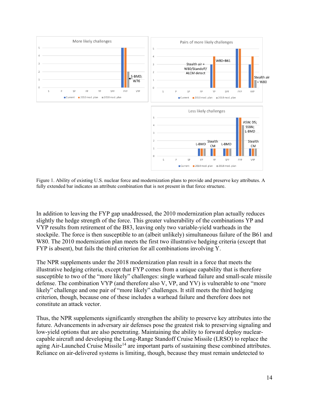

Figure 1. Ability of existing U.S. nuclear force and modernization plans to provide and preserve key attributes. A fully extended bar indicates an attribute combination that is not present in that force structure.

In addition to leaving the FYP gap unaddressed, the 2010 modernization plan actually reduces slightly the hedge strength of the force. This greater vulnerability of the combinations YP and VYP results from retirement of the B83, leaving only two variable-yield warheads in the stockpile. The force is then susceptible to an (albeit unlikely) simultaneous failure of the B61 and W80. The 2010 modernization plan meets the first two illustrative hedging criteria (except that FYP is absent), but fails the third criterion for all combinations involving Y.

The NPR supplements under the 2018 modernization plan result in a force that meets the illustrative hedging criteria, except that FYP comes from a unique capability that is therefore susceptible to two of the "more likely" challenges: single warhead failure and small-scale missile defense. The combination VYP (and therefore also V, VP, and YV) is vulnerable to one "more likely" challenge and one pair of "more likely" challenges. It still meets the third hedging criterion, though, because one of these includes a warhead failure and therefore does not constitute an attack vector.

Thus, the NPR supplements significantly strengthen the ability to preserve key attributes into the future. Advancements in adversary air defenses pose the greatest risk to preserving signaling and low-yield options that are also penetrating. Maintaining the ability to forward deploy nuclearcapable aircraft and developing the Long-Range Standoff Cruise Missile (LRSO) to replace the aging Air-Launched Cruise Missile<sup>[14](#page-1-13)</sup> are important parts of sustaining these combined attributes. Reliance on air-delivered systems is limiting, though, because they must remain undetected to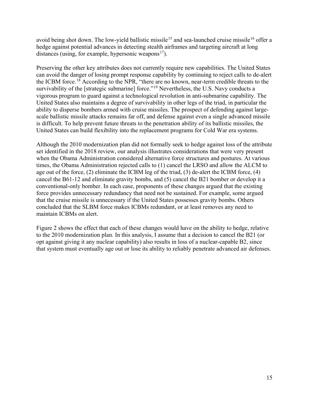avoid being shot down. The low-yield ballistic missile<sup>[15](#page-1-14)</sup> and sea-launched cruise missile<sup>[16](#page-1-15)</sup> offer a hedge against potential advances in detecting stealth airframes and targeting aircraft at long distances (using, for example, hypersonic weapons<sup>17</sup>).

Preserving the other key attributes does not currently require new capabilities. The United States can avoid the danger of losing prompt response capability by continuing to reject calls to de-alert the ICBM force.<sup>[18](#page-1-17)</sup> According to the NPR, "there are no known, near-term credible threats to the survivability of the [strategic submarine] force."<sup>[19](#page-1-18)</sup> Nevertheless, the U.S. Navy conducts a vigorous program to guard against a technological revolution in anti-submarine capability. The United States also maintains a degree of survivability in other legs of the triad, in particular the ability to disperse bombers armed with cruise missiles. The prospect of defending against largescale ballistic missile attacks remains far off, and defense against even a single advanced missile is difficult. To help prevent future threats to the penetration ability of its ballistic missiles, the United States can build flexibility into the replacement programs for Cold War era systems.

Although the 2010 modernization plan did not formally seek to hedge against loss of the attribute set identified in the 2018 review, our analysis illustrates considerations that were very present when the Obama Administration considered alternative force structures and postures. At various times, the Obama Administration rejected calls to (1) cancel the LRSO and allow the ALCM to age out of the force, (2) eliminate the ICBM leg of the triad, (3) de-alert the ICBM force, (4) cancel the B61-12 and eliminate gravity bombs, and (5) cancel the B21 bomber or develop it a conventional-only bomber. In each case, proponents of these changes argued that the existing force provides unnecessary redundancy that need not be sustained. For example, some argued that the cruise missile is unnecessary if the United States possesses gravity bombs. Others concluded that the SLBM force makes ICBMs redundant, or at least removes any need to maintain ICBMs on alert.

Figure 2 shows the effect that each of these changes would have on the ability to hedge, relative to the 2010 modernization plan. In this analysis, I assume that a decision to cancel the B21 (or opt against giving it any nuclear capability) also results in loss of a nuclear-capable B2, since that system must eventually age out or lose its ability to reliably penetrate advanced air defenses.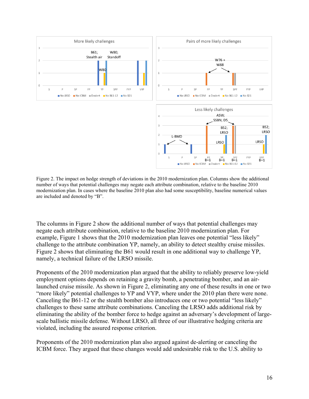

Figure 2. The impact on hedge strength of deviations in the 2010 modernization plan. Columns show the additional number of ways that potential challenges may negate each attribute combination, relative to the baseline 2010 modernization plan. In cases where the baseline 2010 plan also had some susceptibility, baseline numerical values are included and denoted by "B".

The columns in Figure 2 show the additional number of ways that potential challenges may negate each attribute combination, relative to the baseline 2010 modernization plan. For example, Figure 1 shows that the 2010 modernization plan leaves one potential "less likely" challenge to the attribute combination YP, namely, an ability to detect stealthy cruise missiles. Figure 2 shows that eliminating the B61 would result in one additional way to challenge YP, namely, a technical failure of the LRSO missile.

Proponents of the 2010 modernization plan argued that the ability to reliably preserve low-yield employment options depends on retaining a gravity bomb, a penetrating bomber, and an airlaunched cruise missile. As shown in Figure 2, eliminating any one of these results in one or two "more likely" potential challenges to YP and VYP, where under the 2010 plan there were none. Canceling the B61-12 or the stealth bomber also introduces one or two potential "less likely" challenges to these same attribute combinations. Canceling the LRSO adds additional risk by eliminating the ability of the bomber force to hedge against an adversary's development of largescale ballistic missile defense. Without LRSO, all three of our illustrative hedging criteria are violated, including the assured response criterion.

Proponents of the 2010 modernization plan also argued against de-alerting or canceling the ICBM force. They argued that these changes would add undesirable risk to the U.S. ability to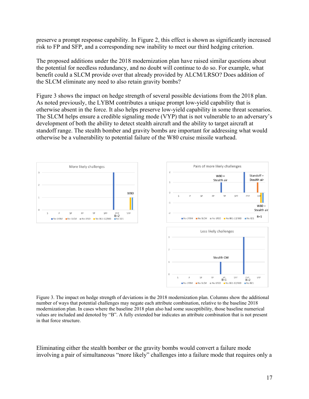preserve a prompt response capability. In Figure 2, this effect is shown as significantly increased risk to FP and SFP, and a corresponding new inability to meet our third hedging criterion.

The proposed additions under the 2018 modernization plan have raised similar questions about the potential for needless redundancy, and no doubt will continue to do so. For example, what benefit could a SLCM provide over that already provided by ALCM/LRSO? Does addition of the SLCM eliminate any need to also retain gravity bombs?

Figure 3 shows the impact on hedge strength of several possible deviations from the 2018 plan. As noted previously, the LYBM contributes a unique prompt low-yield capability that is otherwise absent in the force. It also helps preserve low-yield capability in some threat scenarios. The SLCM helps ensure a credible signaling mode (VYP) that is not vulnerable to an adversary's development of both the ability to detect stealth aircraft and the ability to target aircraft at standoff range. The stealth bomber and gravity bombs are important for addressing what would otherwise be a vulnerability to potential failure of the W80 cruise missile warhead.





Figure 3. The impact on hedge strength of deviations in the 2018 modernization plan. Columns show the additional number of ways that potential challenges may negate each attribute combination, relative to the baseline 2018 modernization plan. In cases where the baseline 2018 plan also had some susceptibility, those baseline numerical values are included and denoted by "B". A fully extended bar indicates an attribute combination that is not present in that force structure.

Eliminating either the stealth bomber or the gravity bombs would convert a failure mode involving a pair of simultaneous "more likely" challenges into a failure mode that requires only a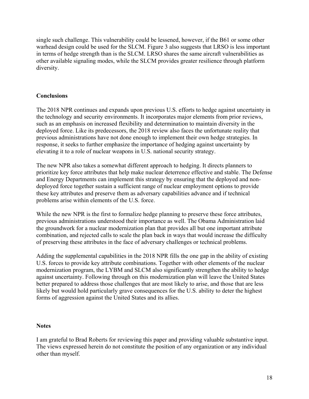single such challenge. This vulnerability could be lessened, however, if the B61 or some other warhead design could be used for the SLCM. Figure 3 also suggests that LRSO is less important in terms of hedge strength than is the SLCM. LRSO shares the same aircraft vulnerabilities as other available signaling modes, while the SLCM provides greater resilience through platform diversity.

## **Conclusions**

The 2018 NPR continues and expands upon previous U.S. efforts to hedge against uncertainty in the technology and security environments. It incorporates major elements from prior reviews, such as an emphasis on increased flexibility and determination to maintain diversity in the deployed force. Like its predecessors, the 2018 review also faces the unfortunate reality that previous administrations have not done enough to implement their own hedge strategies. In response, it seeks to further emphasize the importance of hedging against uncertainty by elevating it to a role of nuclear weapons in U.S. national security strategy.

The new NPR also takes a somewhat different approach to hedging. It directs planners to prioritize key force attributes that help make nuclear deterrence effective and stable. The Defense and Energy Departments can implement this strategy by ensuring that the deployed and nondeployed force together sustain a sufficient range of nuclear employment options to provide these key attributes and preserve them as adversary capabilities advance and if technical problems arise within elements of the U.S. force.

While the new NPR is the first to formalize hedge planning to preserve these force attributes, previous administrations understood their importance as well. The Obama Administration laid the groundwork for a nuclear modernization plan that provides all but one important attribute combination, and rejected calls to scale the plan back in ways that would increase the difficulty of preserving these attributes in the face of adversary challenges or technical problems.

Adding the supplemental capabilities in the 2018 NPR fills the one gap in the ability of existing U.S. forces to provide key attribute combinations. Together with other elements of the nuclear modernization program, the LYBM and SLCM also significantly strengthen the ability to hedge against uncertainty. Following through on this modernization plan will leave the United States better prepared to address those challenges that are most likely to arise, and those that are less likely but would hold particularly grave consequences for the U.S. ability to deter the highest forms of aggression against the United States and its allies.

## **Notes**

I am grateful to Brad Roberts for reviewing this paper and providing valuable substantive input. The views expressed herein do not constitute the position of any organization or any individual other than myself.